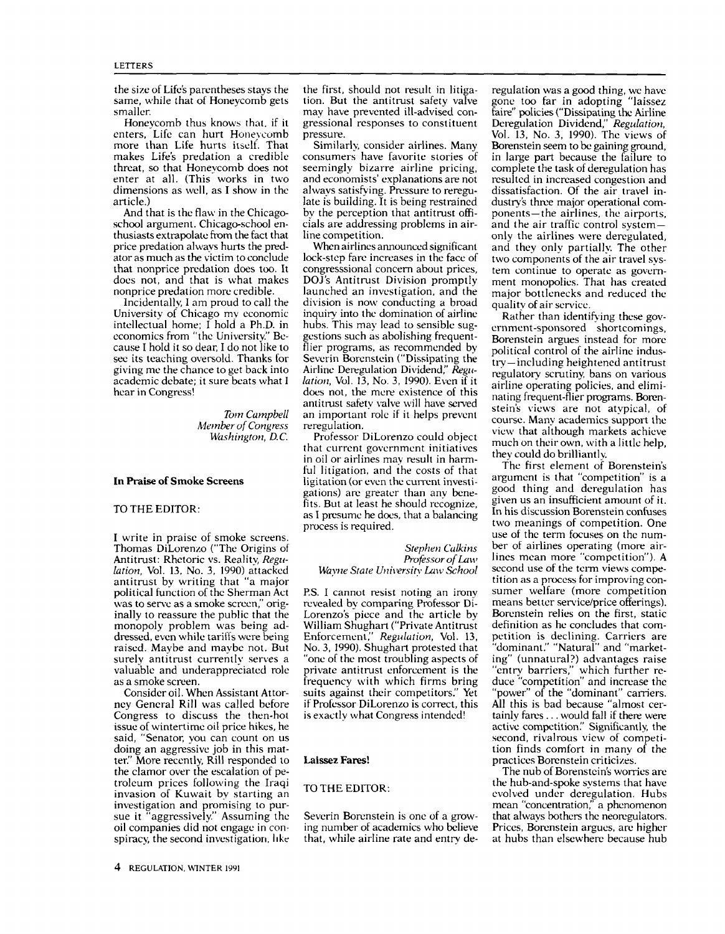the size of Life's parentheses stays the same, while that of Honeycomb gets ition. But the antitrust safety valve<br>smaller. may have prevented ill-advised consmaller.

Honeycomb thus knows that, if it enters, Life can hurt Honeycomb more than Life hurts itself. That makes Life's predation a credible consumers have favorite stories of threat, so that Honevcomb does not seemingly bizarre airline pricing. threat, so that Honeycomb does not enter at all. (This works in two dimensions as well, as I show in the article.)

And that is the flaw in the Chicagoschool argument. Chicago-school en- thusiasts extrapolate from the fact that price predation always hurts the predator as much as the victim to conclude that nonprice predation does too. It congressional concern about prices, does not, and that is what makes DOJ's Antitrust Division promptly does not, and that is what makes nonprice predation more credible.

Incidentally, I am proud to call the University of Chicago my economic intellectual home; I hold a Ph.D. in economics from "the University." Because I hold it so dear, I do not like to see its teaching oversold. Thanks for giving me the chance to get back into academic debate; it sure beats what I hear in Congress!

> Torn Campbell Washington, D.C.

# In Praise of Smoke Screens

#### TO THE EDITOR:

I write in praise of smoke screens. Thomas DiLorenzo ("The Origins of Antitrust: Rhetoric vs. Reality, Regulation, Vol. 13, No. 3, 1990) attacked antitrust by writing that "a major political function of the Sherman Act was to serve as a smoke screen," originally to reassure the public that the monopoly problem was being addressed, even while tariffs were being raised. Maybe and maybe not. But surely antitrust currently serves a valuable and underappreciated role as a smoke screen.

Consider oil. When Assistant Attorney General Rill was called before Congress to discuss the then-hot issue of wintertime oil price hikes, he said, "Senator, you can count on us doing an aggressive job in this matter." More recently; Rill responded to the clamor over the escalation of petroleum prices following the Iraqi invasion of Kuwait by starting an investigation and promising to pursue it "aggressively." Assuming the oil companies did not engage in con- spiracy, the second investigation, like

4 REGULATION, WINTER <sup>1991</sup>

the first, should not result in litigation. But the antitrust safety valve gressional responses to constituent pressure.

Similarly, consider airlines. Many consumers have favorite stories of and economists' explanations are not always satisfying. Pressure to reregulate is building. It is being restrained dustry's three major operational comby the perception that antitrust offi-<br>ponents—the airlines, the airports, by the perception that antitrust officials are addressing problems in airline competition.

Member of Congress reregulation.<br>Washington, D.C. Professor DiLorenzo could object When airlines announced significant lock-step fare increases in the face of congresssional concern about prices, launched an investigation, and the division is now conducting a broad inquiry into the domination of airline hubs. This may lead to sensible suggestions such as abolishing frequentflier programs, as recommended by political control of the airline indus-Severin Borenstein ("Dissipating the Airline Deregulation Dividend," Regulation, Vol. 13, No. 3, 1990). Even if it does not, the mere existence of this antitrust safety valve will have served an important role if it helps prevent reregulation,

that current government initiatives in oil or airlines may result in harmful litigation, and the costs of that ligitation (or even the current investigations) are greater than any benefits. But at least he should recognize, as I presume he does, that a balancing process is required.

> Stephen Calkins Professor of Law

P.S. I cannot resist noting an irony revealed by comparing Professor Di-Lorenzo's piece and the article by William Shughart ("Private Antitrust Enforcement," Regulation, Vol. 13, No. 3, 1990). Shughart protested that "one of the most troubling aspects of ing" (unnatural?) advantages raise<br>private antitrust enforcement is the ""entry barriers," which further reprivate antitrust enforcement is the frequency with which firms bring suits against their competitors:' Yet if Professor DiLorenzo is correct, this

#### Laissez Fares!

## TO THE EDITOR:

Severin Borenstein is one of a growing number of academics who believe that, while airline rate and entry deregulation was a good thing, we have gone too far in adopting "laissez faire" policies ("Dissipating the Airline Deregulation Dividend," Regulation, Vol. 13, No. 3, 1990). The views of Borenstein seem to be gaining ground, in large part because the failure to complete the task of deregulation has resulted in increased congestion and dissatisfaction. Of the air travel inand the air traffic control systemonly the airlines were deregulated, and they only partially. The other two components of the air travel system continue to operate as government monopolies. That has created major bottlenecks and reduced the quality of air service.

Rather than identifying these government-sponsored shortcomings, Borenstein argues instead for more try-including heightened antitrust regulatory scrutiny, bans on various airline operating policies, and eliminating frequent-flier programs. Borenstein's views are not atypical, of course. Many academics support the view that although markets achieve much on their own, with a little help, they could do brilliantly.

Wayne State University Law School second use of the term views compe-<br>tition as a process for improving conis exactly what Congress intended! tainly fares ... would fall if there were<br>active competition." Significantly, the The first element of Borenstein's argument is that "competition" is a good thing and deregulation has given us an insufficient amount of it. In his discussion Borenstein confuses two meanings of competition. One use of the term focuses on the number of airlines operating (more airlines mean more "competition"). A second use of the term views compesumer welfare (more competition means better service/price offerings). Borenstein relies on the first, static definition as he concludes that competition is declining. Carriers are "dominant:' "Natural" and "marketing" (unnatural?) advantages raise duce "competition" and increase the 'power" of the "dominant" carriers. All this is bad because "almost certainly fares ... would fall if there were second, rivalrous view of competition finds comfort in many of the practices Borenstein criticizes.

> The nub of Borenstein's worries are the hub-and-spoke systems that have evolved under deregulation. Hubs mean "concentration," a phenomenon that always bothers the neoregulators. Prices, Borenstein argues, are higher at hubs than elsewhere because hub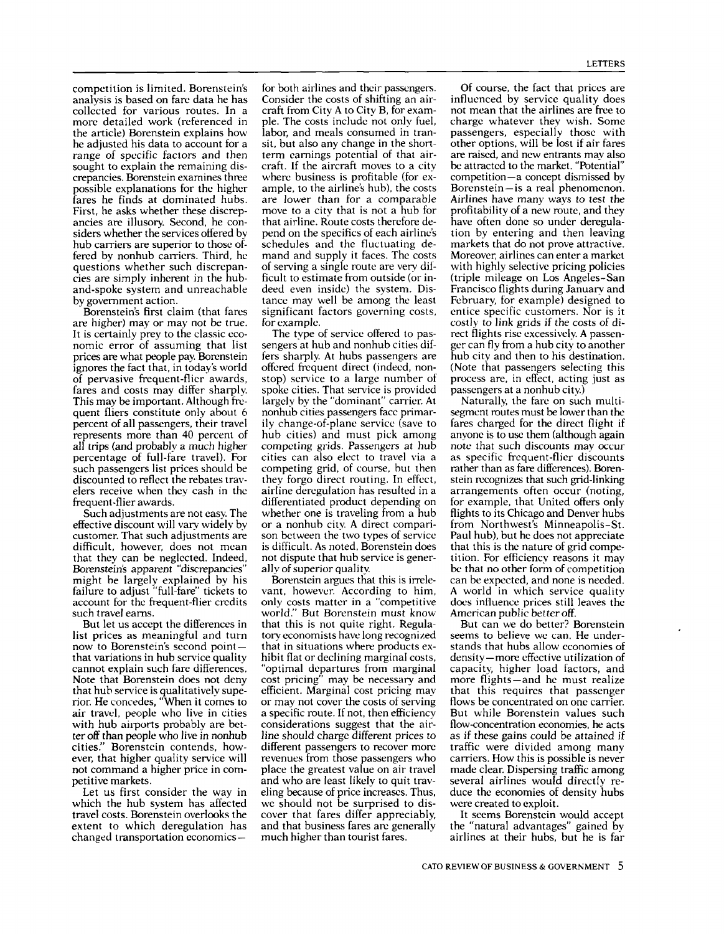competition is limited. Borenstein's analysis is based on fare data he has<br>collected for various routes. In a more detailed work (referenced in the article) Borenstein explains how he adjusted his data to account for a range of specific factors and then sought to explain the remaining discrepancies. Borenstein examines three possible explanations for the higher ample, to the airline's hub), the costs fares he finds at dominated hubs. are lower than for a comparable fares he finds at dominated hubs. First, he asks whether these discrepancies are illusory. Second, he considers whether the services offered by hub carriers are superior to those offered by nonhub carriers. Third, he questions whether such discrepancies are simply inherent in the huband-spoke system and unreachable by government action.

Borenstein's first claim (that fares are higher) may or may not be true. It is certainly prey to the classic eco- nomic error of assuming that list prices are what people pay. Borenstein ignores the fact that, in today's world of pervasive frequent-flier awards, fares and costs may differ sharply. This may be important. Although frequent fliers constitute only about 6 percent of all passengers, their travel represents more than 40 percent of all trips (and probably a much higher competing grids. Passengers at hub percentage of full-fare travel). For cities can also elect to travel via a percentage of full-fare travel). For such passengers list prices should be discounted to reflect the rebates travelers receive when they cash in the airline deregulation has resulted in a frequent-flier awards. frequent-flier awards.

effective discount will vary widely by customer. That such adjustments are difficult, however, does not mean that they can be neglected. Indeed, Borenstein's apparent "discrepancies" might be largely explained by his failure to adjust "full-fare" tickets to account for the frequent-flier credits such travel earns.

But let us accept the differences in list prices as meaningful and turn tory economists have long recognized now to Borenstein's second point — that in situations where products exnow to Borenstein's second point that variations in hub service quality cannot explain such fare differences. Note that Borenstein does not deny that hub service is qualitatively superior. He concedes, "When it comes to air travel, people who live in cities with hub airports probably are better off than people who live in nonhub cities!' Borenstein contends, however, that higher quality service will not command a higher price in com- petitive markets.

Let us first consider the way in which the hub system has affected travel costs. Borenstein overlooks the extent to which deregulation has changed transportation economics

for both airlines and their passengers. Consider the costs of shifting an aircraft from City A to City B, for example. The costs include not only fuel, labor, and meals consumed in transit, but also any change in the shortterm earnings potential of that aircraft. If the aircraft moves to a city ample, to the airline's hub), the costs move to a city that is not a hub for that airline. Route costs therefore depend on the specifics of each airline's schedules and the fluctuating demand and supply it faces. The costs of serving a single route are very difficult to estimate from outside (or indeed even inside) the system. Distance may well be among the least significant factors governing costs, for example.

Such adjustments are not easy. The whether one is traveling from a hub between the will vary widely by or a nonhub city. A direct compari-The type of service offered to passengers at hub and nonhub cities differs sharply. At hubs passengers are offered frequent direct (indeed, nonstop) service to a large number of spoke cities. That service is provided largely by the "dominant" carrier. At nonhub cities passengers face primarily change-of-plane service (save to hub cities) and must pick among competing grids. Passengers at hub competing grid, of course, but then they forgo direct routing. In effect, airline deregulation has resulted in a son between the two types of service. is difficult. As noted, Borenstein does not dispute that hub service is generally of superior quality.

Borenstein argues that this is irrelevant, however. According to him, only costs matter in a "competitive world." But Borenstein must know that this is not quite right. Regulatory economists have long recognized hibit flat or declining marginal costs, "optimal departures from marginal cost pricing" may be necessary and efficient. Marginal cost pricing may or may not cover the costs of serving a specific route. If not, then efficiency considerations suggest that the airline should charge different prices to as if these gains could be attained if different passengers to recover more revenues from those passengers who place the greatest value on air travel made clear. Dispersing traffic among and who are least likely to quit trav-<br>several airlines would directly reand who are least likely to quit traveling because of price increases. Thus, we should not be surprised to discover that fares differ appreciably, and that business fares are generally much higher than tourist fares.

Of course, the fact that prices are influenced by service quality does not mean that the airlines are free to charge whatever they wish. Some passengers, especially those with other options, will be lost if air fares are raised, and new entrants may also be attracted to the market. "Potential" competition—a concept dismissed by Borenstein-is a real phenomenon. Airlines have many ways to test the profitability of a new route, and they have often done so under deregulation by entering and then leaving markets that do not prove attractive. Moreover, airlines can enter a market with highly selective pricing policies (triple mileage on Los Angeles-San Francisco flights during January and February, for example) designed to entice specific customers. Nor is it costly to link grids if the costs of direct flights rise excessively. A passenger can fly from a hub city to another hub city and then to his destination. (Note that passengers selecting this process are, in effect, acting just as passengers at a nonhub city.)

Naturally, the fare on such multisegment routes must be lower than the fares charged for the direct flight if anyone is to use them (although again note that such discounts may occur as specific frequent-flier discounts rather than as fare differences). Borenstein recognizes that such grid-linking arrangements often occur (noting, for example, that United offers only flights to its Chicago and Denver hubs from Northwest's Minneapolis-St. Paul hub), but he does not appreciate that this is the nature of grid competition. For efficiency reasons it may be that no other form of competition can be expected, and none is needed. <sup>A</sup>world in which service quality does influence prices still leaves the American public better off.

But can we do better? Borenstein seems to believe we can. He understands that hubs allow economies of density-more effective utilization of capacity, higher load factors, and more flights—and he must realize that this requires that passenger flows be concentrated on one carrier. But while Borenstein values such flow-concentration economies, he acts traffic were divided among many carriers. How this is possible is never made clear. Dispersing traffic among duce the economies of density hubs were created to exploit.

It seems Borenstein would accept the "natural advantages" gained by airlines at their hubs, but he is far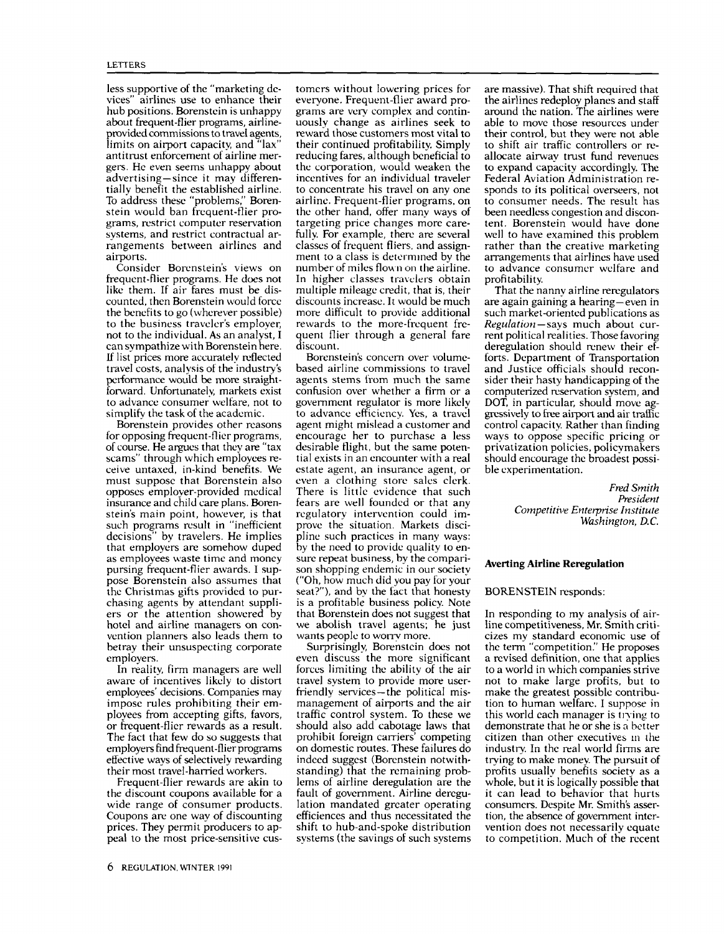less supportive of the "marketing devices" airlines use to enhance their hub positions. Borenstein is unhappy about frequent-flier programs, airlineprovided commissions to travel agents, limits on airport capacity, and "lax"<br>antitrust enforcement of airline mergers. He even seems unhappy about advertising-since it may differentially benefit the established airline. To address these "problems," Borenstein would ban frequent-flier programs, restrict computer reservation systems, and restrict contractual arrangements between airlines and airports.

Consider Borenstein's views on frequent-flier programs. He does not like them. If air fares must be discounted, then Borenstein would force the benefits to go (wherever possible) to the business traveler's employer, not to the individual. As an analyst, I can sympathize with Borenstein here. If list prices more accurately reflected travel costs, analysis of the industry's performance would be more straightforward. Unfortunately, markets exist confusion over whether a firm or a to advance consumer welfare, not to government regulator is more likely to advance consumer welfare, not to simplify the task of the academic.

Borenstein provides other reasons for opposing frequent-flier programs, of course. He argues that they are "tax scams" through which employees re ceive untaxed, in-kind benefits. We must suppose that Borenstein also opposes employer-provided medical insurance and child care plans. Borenstein's main point, however, is that such programs result in "inefficient decisions" by travelers. He implies pline such practices in many ways:<br>that employers are somehow duped by the need to provide quality to enthat employers are somehow duped by the need to provide quality to enable as employees waste time and money sure repeat business, by the comparias employees waste time and money pursing frequent-flier awards. I suppose Borenstein also assumes that the Christmas gifts provided to purchasing agents by attendant suppliers or the attention showered by that Borenstein does not suggest that hotel and airline managers on con- we abolish travel agents; he just vention planners also leads them to betray their unsuspecting corporate employers.

In reality, firm managers are well aware of incentives likely to distort employees' decisions. Companies may impose rules prohibiting their employees from accepting gifts, favors, traffic control system. To these we or frequent-flier rewards as a result. The fact that few do so suggests that employers find frequent-flier programs effective ways of selectively rewarding their most travel-harried workers.

Frequent-flier rewards are akin to the discount coupons available for a wide range of consumer products. Coupons are one way of discounting prices. They permit producers to appeal to the most price-sensitive customers without lowering prices for everyone. Frequent-flier award programs are very complex and continuously change as airlines seek to reward those customers most vital to their control, but they were not able<br>their continued profitability. Simply to shift air traffic controllers or retheir continued profitability. Simply reducing fares, although beneficial to the corporation, would weaken the to expand capacity accordingly. The incentives for an individual traveler Federal Aviation Administration reincentives for an individual traveler to concentrate his travel on any one airline. Frequent-flier programs, on the other hand, offer many ways of targeting price changes more carefully. For example, there are several classes of frequent fliers, and assignment to a class is determmed by the number of miles flown on the airline. In higher classes travelers obtain multiple mileage credit, that is, their discounts increase. It would be much rewards to the more-frequent frequent flier through a general fare discount.

Borenstein's concern over volumebased airline commissions to travel agents stems from much the same confusion over whether a firm or a to advance efficiency. Yes, a travel agent might mislead a customer and encourage her to purchase a less desirable flight, but the same potential exists in an encounter with a real even a clothing store sales clerk. There is little evidence that such fears are well founded or that any regulatory intervention could improve the situation. Markets discipline such practices in many ways: son shopping endemic in our society ("Oh, how much did you pay for your seat?"), and by the fact that honesty is a profitable business policy. Note that Borenstein does not suggest that wants people to worry more.

Surprisingly, Borenstein does not even discuss the more significant forces limiting the ability of the air travel system to provide more userfriendly services-the political mismanagement of airports and the air should also add cabotage laws that prohibit foreign carriers' competing on domestic routes. These failures do indeed suggest (Borenstein notwithstanding) that the remaining problems of airline deregulation are the fault of government. Airline deregulation mandated greater operating efficiences and thus necessitated the shift to hub-and-spoke distribution systems (the savings of such systems are massive). That shift required that the airlines redeploy planes and staff<br>around the nation. The airlines were able to move those resources under their control, but they were not able allocate airway trust fund revenues to expand capacity accordingly. The sponds to its political overseers, not to consumer needs. The result has been needless congestion and discontent. Borenstein would have done well to have examined this problem rather than the creative marketing arrangements that airlines have used to advance consumer welfare and profitability.

more difficult to provide additional such market-oriented publications as rewards to the more-frequent fre-<br>Regulation-says much about cur-That the nanny airline reregulators are again gaining a hearing—even in such market-oriented publications as rent political realities. Those favoring deregulation should renew their efforts. Department of Transportation and Justice officials should reconsider their hasty handicapping of the computerized reservation system, and DOT, in particular, should move aggressively to free airport and air traffic control capacity. Rather than finding ways to oppose specific pricing or privatization policies, policymakers should encourage the broadest possible experimentation.

> Fred Smith President Competitive Enterprise Institute Washington, D.C.

### Averting Airline Reregulation

#### BORENSTEIN responds:

In responding to my analysis of airline competitiveness, Mr. Smith criticizes my standard economic use of the term "competition." He proposes a revised definition, one that applies to a world in which companies strive not to make large profits, but to make the greatest possible contribution to human welfare. I suppose in this world each manager is Irving to demonstrate that he or she is a better citizen than other executives in the industry. In the real world firms are trying to make money. The pursuit of profits usually benefits society as a whole, but it is logically possible that it can lead to behavior that hurts consumers. Despite Mr. Smith's asser tion, the absence of government intervention does not necessarily equate to competition. Much of the recent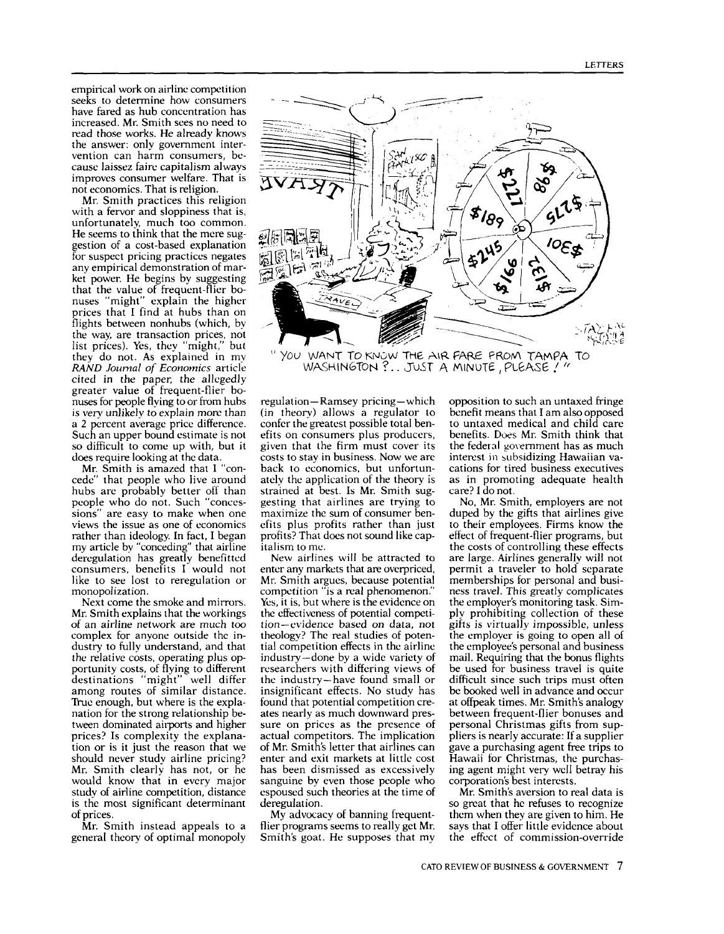empirical work on airline competition seeks to determine how consumers have fared as hub concentration has increased. Mr. Smith sees no need to read those works. He already knows the answer: only government intervention can harm consumers, because laissez faire capitalism always improves consumer welfare. That is not economics. That is religion.

Mr. Smith practices this religion with a fervor and sloppiness that is, unfortunately, much too common. He seems to think that the mere suggestion of a cost-based explanation for suspect pricing practices negates any empirical demonstration of market power. He begins by suggesting that the value of frequent-flier bonuses "might" explain the higher prices that I find at hubs than on flights between nonhubs (which, by the way, are transaction prices, not list prices). Yes, they "might," but they do not. As explained in my RAND Journal of Economics article cited in the paper, the allegedly<br>greater value of frequent-flier bonuses for people flying to or from hubs is very unlikely to explain more than a 2 percent average price difference. Such an upper bound estimate is not so difficult to come up with, but it does require looking at the data.

Mr. Smith is amazed that I "concede" that people who live around hubs are probably better off than people who do not. Such "concessions" are easy to make when one views the issue as one of economics rather than ideology. In fact, I began profits? That a my article by "conceding" that airline italism to me. my article by "conceding" that airline deregulation has greatly benefitted consumers, benefits I would not like to see lost to reregulation or monopolization.

Mr. Smith explains that the workings of an airline network are much too complex for anyone outside the industry to fully understand, and that the relative costs, operating plus opportunity costs, of flying to different destinations "might" well differ among routes of similar distance. True enough, but where is the explanation for the strong relationship between dominated airports and higher prices? Is complexity the explana-<br>tion or is it just the reason that we should never study airline pricing? Mr. Smith clearly has not, or he would know that in every major study of airline competition, distance is the most significant determinant of prices.

Mr. Smith instead appeals to a general theory of optimal monopoly



"YOU WANT TO KNOW THE AIR FARE FROM TAMPA TO WASHINGTON ?.. JUST A MINUTE, PLEASE ! "

 $regulation - Ramsey$  pricing — which (in theory) allows a regulator to confer the greatest possible total benefits on consumers plus producers, given that the firm must cover its the federal government has as much costs to stay in business. Now we are interest in subsidizing Hawaiian vacosts to stay in business. Now we are back to economics, but unfortunately the application of the theory is strained at best. Is Mr. Smith suggesting that airlines are trying to maximize the sum of consumer benefits plus profits rather than just profits? That does not sound like cap-

Next come the smoke and mirrors. Yes, it is, but where is the evidence on r. Smith explains that the workings the effectiveness of potential competi-New airlines will be attracted to enter any markets that are overpriced, Mr. Smith argues, because potential competition "is a real phenomenon." Yes, it is, but where is the evidence on tion-evidence based on data, not theology? The real studies of potential competition effects in the airline industry-done by a wide variety of researchers with differing views of the industry-have found small or insignificant effects. No study has found that potential competition cre- ates nearly as much downward pressure on prices as the presence of actual competitors. The implication of Mr. Smith's letter that airlines can enter and exit markets at little cost has been dismissed as excessively sanguine by even those people who corporation's best interests.<br>
espoused such theories at the time of Mr. Smith's aversion to real data is espoused such theories at the time of deregulation.

> My advocacy of banning frequentflier programs seems to really get Mr. Smith's goat. He supposes that my

opposition to such an untaxed fringe benefit means that I am also opposed to untaxed medical and child care benefits. Does Mr. Smith think that the federal government has as much cations for tired business executives as in promoting adequate health care? I do not.

No, Mr. Smith, employers are not duped by the gifts that airlines give to their employees. Firms know the effect of frequent-flier programs, but the costs of controlling these effects are large. Airlines generally will not permit a traveler to hold separate memberships for personal and business travel. This greatly complicates the employer's monitoring task. Simply prohibiting collection of these gifts is virtually impossible, unless the employer is going to open all of the employee's personal and business mail. Requiring that the bonus flights be used for business travel is quite difficult since such trips must often be booked well in advance and occur at offpeak times. Mr. Smith's analogy between frequent-flier bonuses and personal Christmas gifts from suppliers is nearly accurate: If a supplier gave a purchasing agent free trips to Hawaii for Christmas, the purchasing agent might very well betray his corporation's best interests.

so great that he refuses to recognize them when they are given to him. He says that I offer little evidence about the effect of commission-override